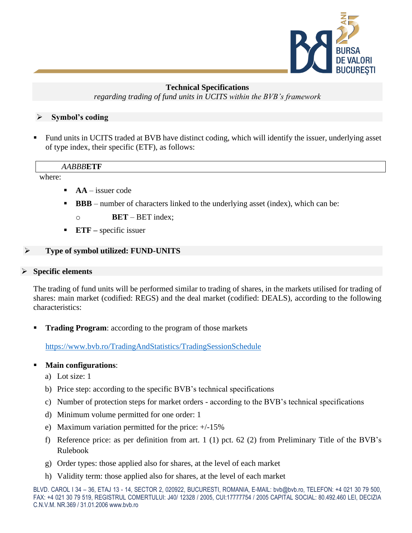

#### **Technical Specifications**

*regarding trading of fund units in UCITS within the BVB's framework*

## ➢ **Symbol's coding**

▪ Fund units in UCITS traded at BVB have distinct coding, which will identify the issuer, underlying asset of type index, their specific (ETF), as follows:

#### *AABBB***ETF**

where:

- $AA$  issuer code
- **BBB** number of characters linked to the underlying asset (index), which can be:
	- o **BET**  BET index;
- **ETF** specific issuer

# ➢ **Type of symbol utilized: FUND-UNITS**

## ➢ **Specific elements**

The trading of fund units will be performed similar to trading of shares, in the markets utilised for trading of shares: main market (codified: REGS) and the deal market (codified: DEALS), according to the following characteristics:

**Trading Program:** according to the program of those markets

<https://www.bvb.ro/TradingAndStatistics/TradingSessionSchedule>

## **Main configurations:**

- a) Lot size: 1
- b) Price step: according to the specific BVB's technical specifications
- c) Number of protection steps for market orders according to the BVB's technical specifications
- d) Minimum volume permitted for one order: 1
- e) Maximum variation permitted for the price: +/-15%
- f) Reference price: as per definition from art. 1 (1) pct. 62 (2) from Preliminary Title of the BVB's Rulebook
- g) Order types: those applied also for shares, at the level of each market
- h) Validity term: those applied also for shares, at the level of each market

BLVD. CAROL I 34 – 36, ETAJ 13 - 14, SECTOR 2, 020922, BUCURESTI, ROMANIA, E-MAIL: bvb@bvb.ro, TELEFON: +4 021 30 79 500, FAX: +4 021 30 79 519, REGISTRUL COMERTULUI: J40/ 12328 / 2005, CUI:17777754 / 2005 CAPITAL SOCIAL: 80.492.460 LEI, DECIZIA C.N.V.M. NR.369 / 31.01.2006 www.bvb.ro